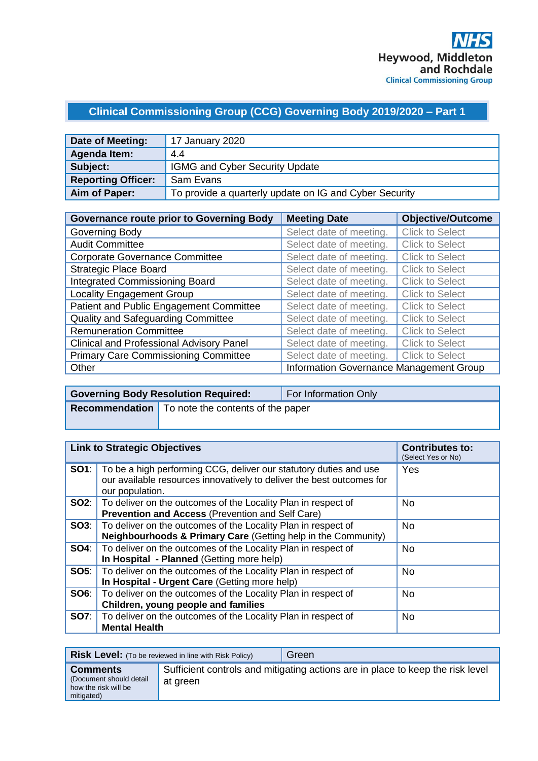# **Clinical Commissioning Group (CCG) Governing Body 2019/2020 – Part 1**

| Date of Meeting:          | 17 January 2020                                        |
|---------------------------|--------------------------------------------------------|
| Agenda Item:              | 4.4                                                    |
| Subject:                  | <b>IGMG and Cyber Security Update</b>                  |
| <b>Reporting Officer:</b> | Sam Evans                                              |
| Aim of Paper:             | To provide a quarterly update on IG and Cyber Security |

| <b>Governance route prior to Governing Body</b> | <b>Meeting Date</b>                     | <b>Objective/Outcome</b> |
|-------------------------------------------------|-----------------------------------------|--------------------------|
| Governing Body                                  | Select date of meeting.                 | <b>Click to Select</b>   |
| <b>Audit Committee</b>                          | Select date of meeting.                 | <b>Click to Select</b>   |
| <b>Corporate Governance Committee</b>           | Select date of meeting.                 | <b>Click to Select</b>   |
| <b>Strategic Place Board</b>                    | Select date of meeting.                 | <b>Click to Select</b>   |
| <b>Integrated Commissioning Board</b>           | Select date of meeting.                 | <b>Click to Select</b>   |
| <b>Locality Engagement Group</b>                | Select date of meeting.                 | <b>Click to Select</b>   |
| Patient and Public Engagement Committee         | Select date of meeting.                 | <b>Click to Select</b>   |
| Quality and Safeguarding Committee              | Select date of meeting.                 | <b>Click to Select</b>   |
| <b>Remuneration Committee</b>                   | Select date of meeting.                 | <b>Click to Select</b>   |
| <b>Clinical and Professional Advisory Panel</b> | Select date of meeting.                 | <b>Click to Select</b>   |
| <b>Primary Care Commissioning Committee</b>     | Select date of meeting.                 | <b>Click to Select</b>   |
| Other                                           | Information Governance Management Group |                          |

| <b>Governing Body Resolution Required:</b>                | For Information Only |
|-----------------------------------------------------------|----------------------|
| <b>Recommendation</b>   To note the contents of the paper |                      |

| <b>Link to Strategic Objectives</b> |                                                                                                                                                                            | <b>Contributes to:</b><br>(Select Yes or No) |
|-------------------------------------|----------------------------------------------------------------------------------------------------------------------------------------------------------------------------|----------------------------------------------|
|                                     | <b>SO1</b> : To be a high performing CCG, deliver our statutory duties and use<br>our available resources innovatively to deliver the best outcomes for<br>our population. | Yes                                          |
|                                     | <b>SO2:</b>   To deliver on the outcomes of the Locality Plan in respect of<br><b>Prevention and Access (Prevention and Self Care)</b>                                     | <b>No</b>                                    |
|                                     | <b>SO3:</b>   To deliver on the outcomes of the Locality Plan in respect of<br>Neighbourhoods & Primary Care (Getting help in the Community)                               | <b>No</b>                                    |
|                                     | <b>SO4:</b> To deliver on the outcomes of the Locality Plan in respect of<br>In Hospital - Planned (Getting more help)                                                     | <b>No</b>                                    |
|                                     | <b>SO5:</b>   To deliver on the outcomes of the Locality Plan in respect of<br>In Hospital - Urgent Care (Getting more help)                                               | <b>No</b>                                    |
| SOS:                                | To deliver on the outcomes of the Locality Plan in respect of<br>Children, young people and families                                                                       | <b>No</b>                                    |
|                                     | <b>SO7:</b>   To deliver on the outcomes of the Locality Plan in respect of<br><b>Mental Health</b>                                                                        | <b>No</b>                                    |

|                                                                                  | <b>Risk Level:</b> (To be reviewed in line with Risk Policy) | Green                                                                          |
|----------------------------------------------------------------------------------|--------------------------------------------------------------|--------------------------------------------------------------------------------|
| <b>Comments</b><br>(Document should detail<br>how the risk will be<br>mitigated) | at green                                                     | Sufficient controls and mitigating actions are in place to keep the risk level |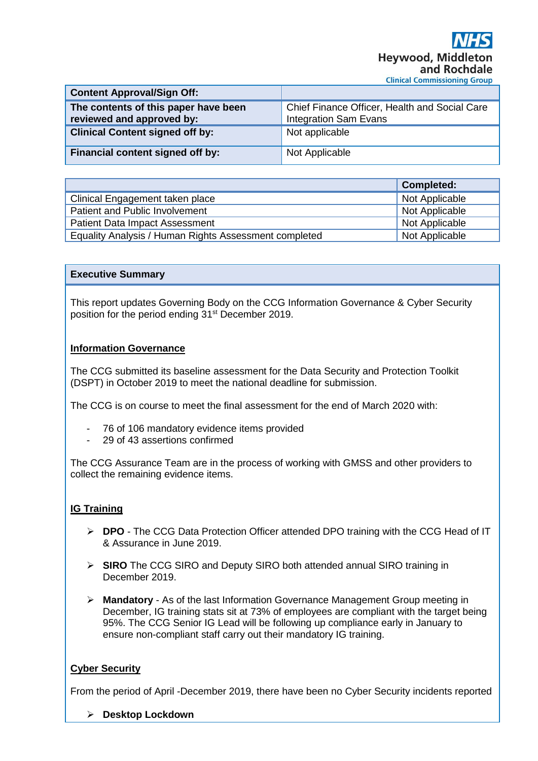| <b>Content Approval/Sign Off:</b>                                 |                                                                               |
|-------------------------------------------------------------------|-------------------------------------------------------------------------------|
| The contents of this paper have been<br>reviewed and approved by: | Chief Finance Officer, Health and Social Care<br><b>Integration Sam Evans</b> |
| <b>Clinical Content signed off by:</b>                            | Not applicable                                                                |
| Financial content signed off by:                                  | Not Applicable                                                                |

|                                                       | <b>Completed:</b> |
|-------------------------------------------------------|-------------------|
| Clinical Engagement taken place                       | Not Applicable    |
| Patient and Public Involvement                        | Not Applicable    |
| <b>Patient Data Impact Assessment</b>                 | Not Applicable    |
| Equality Analysis / Human Rights Assessment completed | Not Applicable    |

#### **Executive Summary**

This report updates Governing Body on the CCG Information Governance & Cyber Security position for the period ending 31<sup>st</sup> December 2019.

### **Information Governance**

The CCG submitted its baseline assessment for the Data Security and Protection Toolkit (DSPT) in October 2019 to meet the national deadline for submission.

The CCG is on course to meet the final assessment for the end of March 2020 with:

- 76 of 106 mandatory evidence items provided
- 29 of 43 assertions confirmed

The CCG Assurance Team are in the process of working with GMSS and other providers to collect the remaining evidence items.

### **IG Training**

- ➢ **DPO** The CCG Data Protection Officer attended DPO training with the CCG Head of IT & Assurance in June 2019.
- ➢ **SIRO** The CCG SIRO and Deputy SIRO both attended annual SIRO training in December 2019.
- ➢ **Mandatory** As of the last Information Governance Management Group meeting in December, IG training stats sit at 73% of employees are compliant with the target being 95%. The CCG Senior IG Lead will be following up compliance early in January to ensure non-compliant staff carry out their mandatory IG training.

### **Cyber Security**

From the period of April -December 2019, there have been no Cyber Security incidents reported

➢ **Desktop Lockdown**